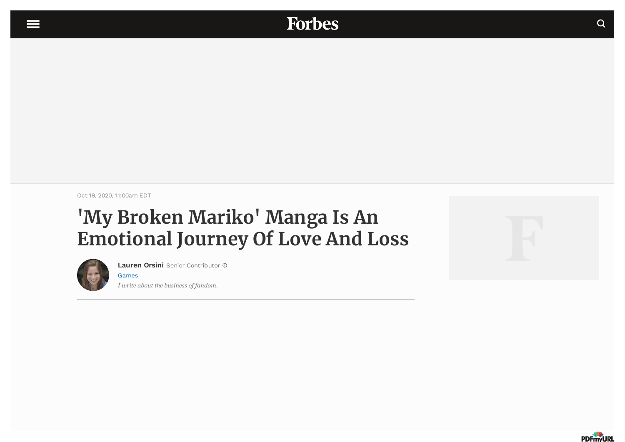$\Omega$ 

Oct 19, 2020, 11:00am EDT

[Games](https://www.forbes.com/games)

## **'My Broken Mariko' Manga Is An Emotional Journey Of Love And Loss**



**[Lauren](https://www.forbes.com/sites/laurenorsini/) Orsini** Senior Contributor

*I write about the business of fandom.*



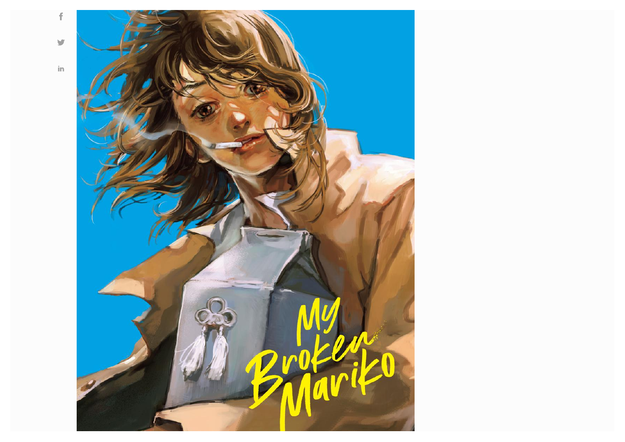

 $\blacksquare$ 

 $\mathop{\text{in}}$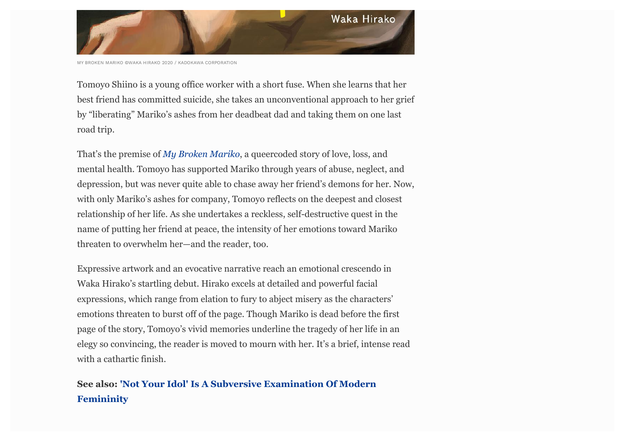

MY BROKEN MARIKO ©WAKA HIRAKO 2020 / KADOKAWA CORPORATION

Tomoyo Shiino is a young office worker with a short fuse. When she learns that her best friend has committed suicide, she takes an unconventional approach to her grief by "liberating" Mariko's ashes from her deadbeat dad and taking them on one last road trip.

That's the premise of *[My Broken Mariko](https://yenpress.com/9781975318598/my-broken-mariko/#book-description-full)*, a queercoded story of love, loss, and mental health. Tomoyo has supported Mariko through years of abuse, neglect, and depression, but was never quite able to chase away her friend's demons for her. Now, with only Mariko's ashes for company, Tomoyo reflects on the deepest and closest relationship of her life. As she undertakes a reckless, self-destructive quest in the name of putting her friend at peace, the intensity of her emotions toward Mariko threaten to overwhelm her—and the reader, too.

Expressive artwork and an evocative narrative reach an emotional crescendo in Waka Hirako's startling debut. Hirako excels at detailed and powerful facial expressions, which range from elation to fury to abject misery as the characters' emotions threaten to burst off of the page. Though Mariko is dead before the first page of the story, Tomoyo's vivid memories underline the tragedy of her life in an elegy so convincing, the reader is moved to mourn with her. It's a brief, intense read with a cathartic finish.

## **[See also: 'Not Your Idol' Is A Subversive Examination Of Modern](https://www.forbes.com/sites/laurenorsini/2020/08/20/not-your-idol-is-a-subversive-examination-of-modern-femininity/#508723cc11bc) Femininity**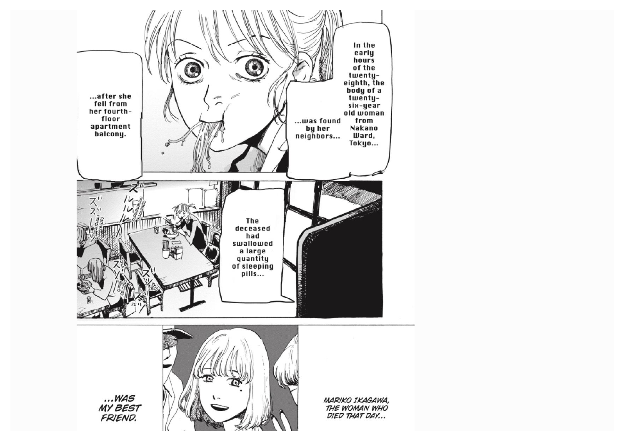



...WAS<br>MY BEST<br>FRIEND.

MARIKO IKAGAWA, THE WOMAN WHO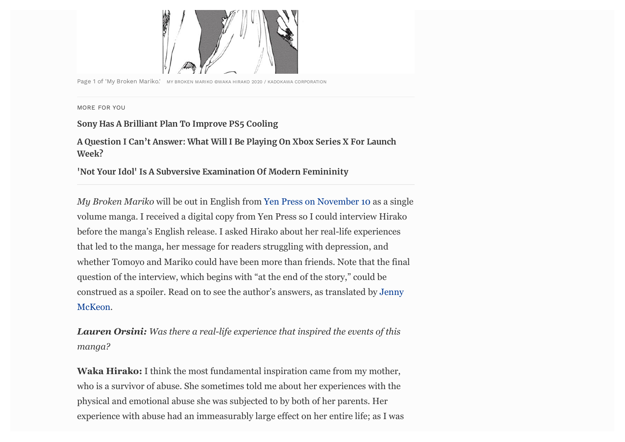

Page 1 of 'My Broken Mariko.' MY BROKEN MARIKO ©WAKA HIRAKO 2020 / KADOKAWA CORPORATION

MORE FOR YOU

## **Sony Has A Brilliant Plan To [Improve](https://www.forbes.com/sites/jasonevangelho/2020/10/19/sonys-ps5-could-get-a-lot-louder-after-some-online-updates/) PS5 Cooling**

**A [Question](https://www.forbes.com/sites/paultassi/2020/10/19/a-question-i-cant-answer-what-will-i-be-playing-on-xbox-series-x-for-launch-week/) I Can't Answer: What Will I Be Playing On Xbox Series X For Launch Week?**

**'Not Your Idol' Is A Subversive [Examination](https://www.forbes.com/sites/laurenorsini/2020/08/20/not-your-idol-is-a-subversive-examination-of-modern-femininity/) Of Modern Femininity**

*My Broken Mariko* will be out in English from [Yen Press on November 10](https://yenpress.com/9781975318598/my-broken-mariko/#book-description-full) as a single volume manga. I received a digital copy from Yen Press so I could interview Hirako before the manga's English release. I asked Hirako about her real-life experiences that led to the manga, her message for readers struggling with depression, and whether Tomoyo and Mariko could have been more than friends. Note that the final question of the interview, which begins with "at the end of the story," could be [construed as a spoiler. Read on to see the author's answers, as translated by Jenny](https://www.jlmkart.com/) McKeon.

*Lauren Orsini: Was there a real-life experience that inspired the events of this manga?*

**Waka Hirako:** I think the most fundamental inspiration came from my mother, who is a survivor of abuse. She sometimes told me about her experiences with the physical and emotional abuse she was subjected to by both of her parents. Her experience with abuse had an immeasurably large effect on her entire life; as I was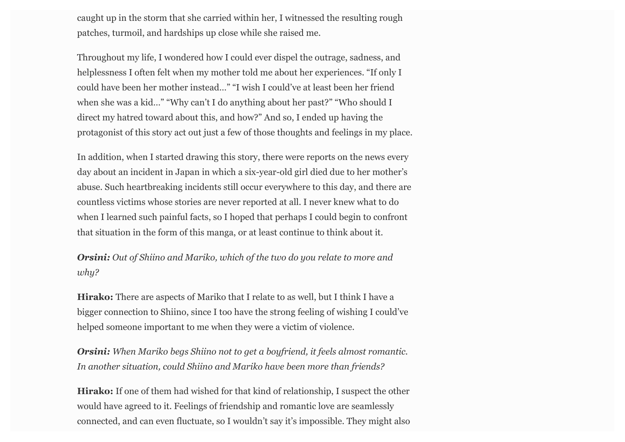caught up in the storm that she carried within her, I witnessed the resulting rough patches, turmoil, and hardships up close while she raised me.

Throughout my life, I wondered how I could ever dispel the outrage, sadness, and helplessness I often felt when my mother told me about her experiences. "If only I could have been her mother instead…" "I wish I could've at least been her friend when she was a kid…" "Why can't I do anything about her past?" "Who should I direct my hatred toward about this, and how?" And so, I ended up having the protagonist of this story act out just a few of those thoughts and feelings in my place.

In addition, when I started drawing this story, there were reports on the news every day about an incident in Japan in which a six-year-old girl died due to her mother's abuse. Such heartbreaking incidents still occur everywhere to this day, and there are countless victims whose stories are never reported at all. I never knew what to do when I learned such painful facts, so I hoped that perhaps I could begin to confront that situation in the form of this manga, or at least continue to think about it.

*Orsini: Out of Shiino and Mariko, which of the two do you relate to more and why?*

**Hirako:** There are aspects of Mariko that I relate to as well, but I think I have a bigger connection to Shiino, since I too have the strong feeling of wishing I could've helped someone important to me when they were a victim of violence.

*Orsini: When Mariko begs Shiino not to get a boyfriend, it feels almost romantic. In another situation, could Shiino and Mariko have been more than friends?*

**Hirako:** If one of them had wished for that kind of relationship, I suspect the other would have agreed to it. Feelings of friendship and romantic love are seamlessly connected, and can even fluctuate, so I wouldn't say it's impossible. They might also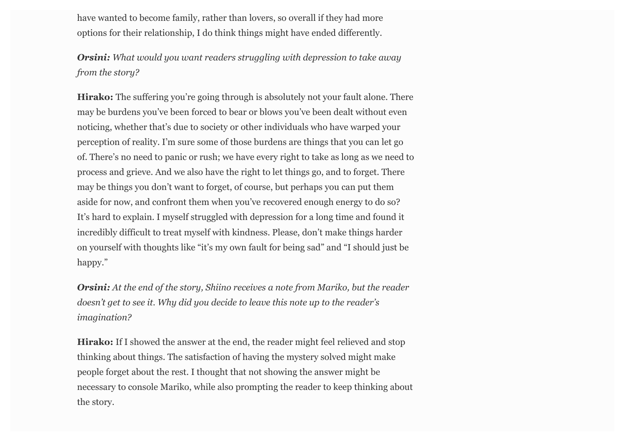have wanted to become family, rather than lovers, so overall if they had more options for their relationship, I do think things might have ended differently.

*Orsini: What would you want readers struggling with depression to take away from the story?*

**Hirako:** The suffering you're going through is absolutely not your fault alone. There may be burdens you've been forced to bear or blows you've been dealt without even noticing, whether that's due to society or other individuals who have warped your perception of reality. I'm sure some of those burdens are things that you can let go of. There's no need to panic or rush; we have every right to take as long as we need to process and grieve. And we also have the right to let things go, and to forget. There may be things you don't want to forget, of course, but perhaps you can put them aside for now, and confront them when you've recovered enough energy to do so? It's hard to explain. I myself struggled with depression for a long time and found it incredibly difficult to treat myself with kindness. Please, don't make things harder on yourself with thoughts like "it's my own fault for being sad" and "I should just be happy."

*Orsini: At the end of the story, Shiino receives a note from Mariko, but the reader doesn't get to see it. Why did you decide to leave this note up to the reader's imagination?*

**Hirako:** If I showed the answer at the end, the reader might feel relieved and stop thinking about things. The satisfaction of having the mystery solved might make people forget about the rest. I thought that not showing the answer might be necessary to console Mariko, while also prompting the reader to keep thinking about the story.